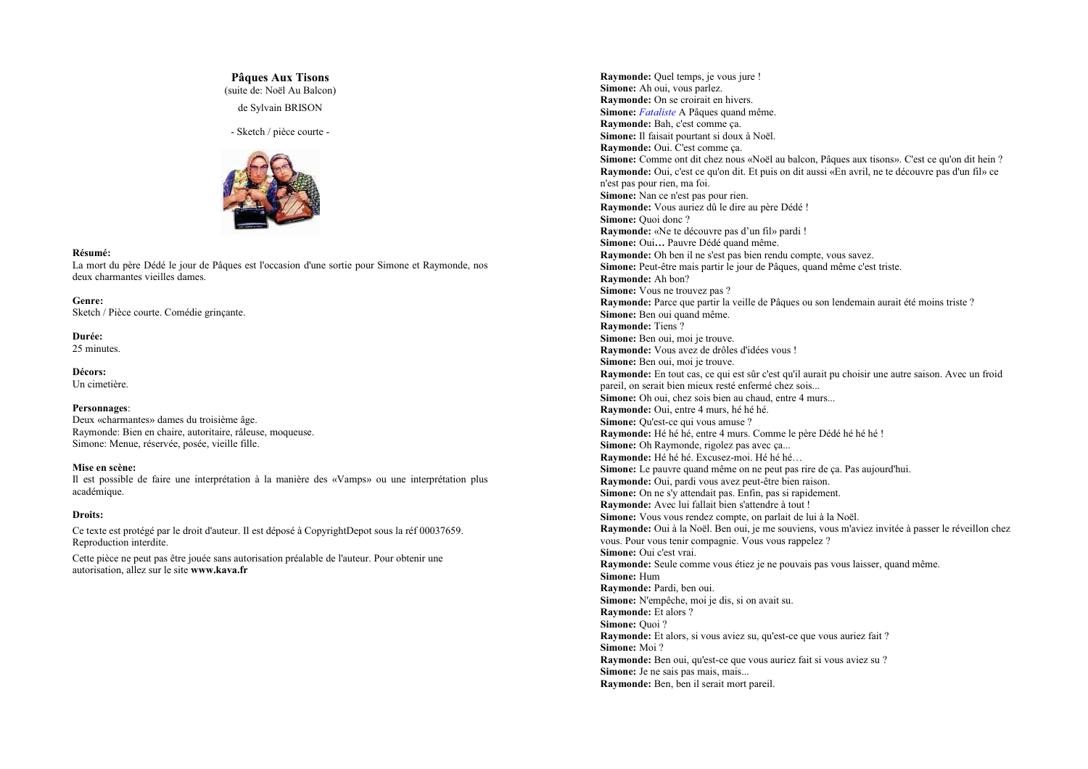# **Pâques Aux Tisons**

(suite de: Noël Au Balcon)

de Sylvain BRISON

- Sketch / pièce courte -



### Résumé:

La mort du père Dédé le jour de Pâques est l'occasion d'une sortie pour Simone et Raymonde, nos deux charmantes vieilles dames

Genre: Sketch / Pièce courte. Comédie grinçante.

Durée: 25 minutes.

Décors: Un cimetière.

#### Personnages:

Deux «charmantes» dames du troisième âge. Raymonde: Bien en chaire, autoritaire, râleuse, moqueuse. Simone: Menue, réservée, posée, vieille fille.

#### Mise en scène:

Il est possible de faire une interprétation à la manière des «Vamps» ou une interprétation plus académique.

#### **Droits:**

Ce texte est protégé par le droit d'auteur. Il est déposé à CopyrightDepot sous la réf 00037659. Reproduction interdite.

Cette pièce ne peut pas être jouée sans autorisation préalable de l'auteur. Pour obtenir une autorisation, allez sur le site www.kava.fr

Ravmonde: Ouel temps, je vous jure ! Simone: Ah oui, yous parlez. Raymonde: On se croirait en hivers. Simone: *Fataliste* A Pâques quand même. Raymonde: Bah. c'est comme ca. Simone: Il faisait pourtant si doux à Noël. Raymonde: Oui. C'est comme ca. Simone: Comme ont dit chez nous «Noël au balcon, Pâques aux tisons». C'est ce qu'on dit hein? **Raymonde:** Oui, c'est ce qu'on dit. Et puis on dit aussi «En avril, ne te découvre pas d'un fil» ce n'est pas pour rien, ma foi. Simone: Nan ce n'est pas pour rien. Raymonde: Vous auriez dû le dire au père Dédé ! Simone: Quoi donc? Raymonde: «Ne te découvre pas d'un fil» pardi ! Simone: Oui... Pauvre Dédé quand même. Raymonde: Oh ben il ne s'est pas bien rendu compte, vous savez. Simone: Peut-être mais partir le jour de Pâques, quand même c'est triste. Raymonde: Ah bon? Simone: Vous ne trouvez pas ? Raymonde: Parce que partir la veille de Pâques ou son lendemain aurait été moins triste ? Simone: Ben oui quand même. **Raymonde: Tiens?** Simone: Ben oui, moi je trouve. Raymonde: Vous avez de drôles d'idées vous ! Simone: Ben oui, moi je trouve. Raymonde: En tout cas, ce qui est sûr c'est qu'il aurait pu choisir une autre saison. Avec un froid pareil, on serait bien mieux resté enfermé chez sois... Simone: Oh oui, chez sois bien au chaud, entre 4 murs... Raymonde: Oui, entre 4 murs, hé hé hé. Simone: Qu'est-ce qui vous amuse ? Raymonde: Hé hé hé, entre 4 murs. Comme le père Dédé hé hé le ! Simone: Oh Raymonde, rigolez pas avec ça... Raymonde: Hé hé hé. Excusez-moi. Hé hé hé... Simone: Le nauvre quand même on ne neut nas rire de ca. Pas aujourd'hui. Raymonde: Qui, pardi vous avez peut-être bien raison. Simone: On ne s'y attendait pas. Enfin, pas si rapidement. Raymonde: Avec lui fallait bien s'attendre à tout ! Simone: Vous vous rendez compte, on parlait de lui à la Noël. Raymonde: Oui à la Noël. Ben oui, je me souviens, vous m'aviez invitée à passer le réveillon chez vous. Pour vous tenir compagnie. Vous vous rappelez ? Simone: Oui c'est vrai. Raymonde: Seule comme vous étiez je ne pouvais pas vous laisser, quand même. Simone: Hum Raymonde: Pardi, ben oui. Simone: N'empêche, moi je dis, si on avait su. Raymonde: Et alors ? Simone: Quoi? Raymonde: Et alors, si vous aviez su, qu'est-ce que vous auriez fait ? Simone: Moi ? Raymonde: Ben oui, qu'est-ce que vous auriez fait si vous aviez su ? Simone: Je ne sais pas mais, mais... Raymonde: Ben, ben il serait mort pareil.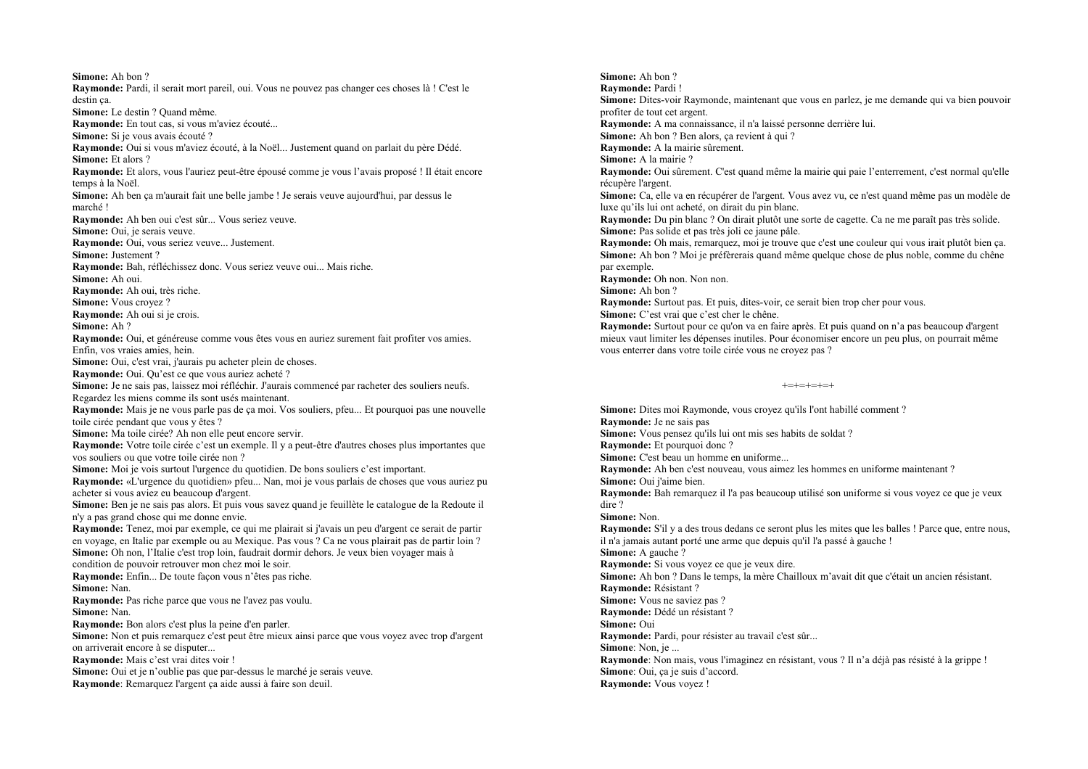Simone: Ah bon ? Raymonde: Pardi, il serait mort pareil, oui. Vous ne pouvez pas changer ces choses là ! C'est le destin ca. Simone: Le destin ? Ouand même. Raymonde: En tout cas, si vous m'aviez écouté... Simone: Si je vous avais écouté ? Raymonde: Qui si vous m'aviez écouté, à la Noël... Justement quand on parlait du père Dédé. Simone: Et alors ? Raymonde: Et alors, vous l'auriez peut-être épousé comme je vous l'avais proposé ! Il était encore temps à la Noël. Simone: Ah ben ca m'aurait fait une belle jambe ! Je serais veuve aujourd'hui par dessus le marché<sup>1</sup> Raymonde: Ah ben oui c'est sûr... Vous seriez veuve. Simone: Qui, je serais veuve. Raymonde: Oui, vous seriez veuve... Justement. **Simone:** Justement? Raymonde: Bah. réfléchissez donc. Vous seriez veuve oui... Mais riche. Simone: Ah oui Raymonde: Ah oui, très riche. Simone: Vous crovez? Raymonde: Ah oui si je crois. Simone: Ah? Raymonde: Qui, et généreuse comme vous êtes vous en auriez surement fait profiter vos amies. Enfin, vos vraies amies, hein. Simone: Oui, c'est vrai, j'aurais pu acheter plein de choses. Raymonde: Oui. Qu'est ce que vous auriez acheté ? Simone: Je ne sais pas, laissez moi réfléchir. J'aurais commencé par racheter des souliers neufs. Regardez les miens comme ils sont usés maintenant. Raymonde: Mais je ne vous parle pas de ça moi. Vos souliers, pfeu... Et pourquoi pas une nouvelle toile cirée pendant que vous y êtes ? Simone: Ma toile cirée? Ah non elle peut encore servir. Raymonde: Votre toile cirée c'est un exemple. Il y a peut-être d'autres choses plus importantes que vos souliers ou que votre toile cirée non ? Simone: Moi je vojs surtout l'urgence du quotidien. De bons souliers c'est important. Raymonde: «L'urgence du quotidien» pfeu... Nan, moi je vous parlais de choses que vous auriez pu acheter si vous aviez eu beaucoup d'argent. Simone: Ben je ne sais pas alors. Et puis vous savez quand je feuillète le catalogue de la Redoute il n'y a pas grand chose qui me donne envie. Raymonde: Tenez, moi par exemple, ce qui me plairait si j'avais un peu d'argent ce serait de partir en voyage, en Italie par exemple ou au Mexique. Pas vous ? Ca ne vous plairait pas de partir loin ? Simone: Oh non. l'Italie c'est trop loin, faudrait dormir dehors. Je veux bien voyager mais à condition de pouvoir retrouver mon chez moi le soir. Raymonde: Enfin... De toute façon vous n'êtes pas riche. Simone: Nan. Raymonde: Pas riche parce que vous ne l'avez pas voulu. Simone: Nan Raymonde: Bon alors c'est plus la peine d'en parler. Simone: Non et puis remarquez c'est peut être mieux ainsi parce que vous voyez avec trop d'argent on arriverait encore à se disputer... Raymonde: Mais c'est vrai dites voir ! Simone: Oui et je n'oublie pas que par-dessus le marché je serais veuve. Raymonde: Remarquez l'argent ca aide aussi à faire son deuil.

Simone: Ah bon ? Ravmonde: Pardi! Simone: Dites-voir Raymonde, maintenant que vous en parlez, je me demande qui va bien pouvoir profiter de tout cet argent. Ravmonde: A ma connaissance, il n'a laissé personne derrière lui. Simone: Ah bon ? Ben alors, ca revient à qui ? Raymonde: A la mairie sûrement. Simone: A la mairie ? Raymonde: Qui sûrement. C'est quand même la mairie qui paie l'enterrement, c'est normal qu'elle récunère l'argent. Simone: Ca. elle va en récupérer de l'argent. Vous avez vu, ce n'est quand même pas un modèle de luxe qu'ils lui ont acheté, on dirait du pin blanc. Raymonde: Du pin blanc ? On dirait plutôt une sorte de cagette. Ca ne me paraît pas très solide. Simone: Pas solide et pas très joli ce jaune pâle. Raymonde: Oh mais, remarquez, moi je trouve que c'est une couleur qui vous irait plutôt bien ça. Simone: Ah bon ? Moi je préfèrerais quand même quelque chose de plus noble, comme du chêne par exemple. Raymonde: Oh non. Non non. Simone: Ah bon ? Raymonde: Surtout pas. Et puis, dites-voir, ce serait bien trop cher pour vous. Simone: C'est vrai que c'est cher le chêne. Raymonde: Surtout pour ce qu'on va en faire après. Et puis quand on n'a pas beaucoup d'argent mieux vaut limiter les dépenses inutiles. Pour économiser encore un peu plus, on pourrait même vous enterrer dans votre toile cirée vous ne croyez pas ?

 $+ = + = + = + = +$ 

Simone: Dites moi Raymonde, vous croyez qu'ils l'ont habillé comment ? Raymonde: Je ne sais pas Simone: Vous pensez qu'ils lui ont mis ses habits de soldat ? Raymonde: Et pourquoi donc? Simone: C'est beau un homme en uniforme... **Raymonde:** Ah ben c'est nouveau, yous aimez les hommes en uniforme maintenant? Simone: Oui i'aime bien. Raymonde: Bah remarquez il l'a pas beaucoup utilisé son uniforme si vous voyez ce que je veux dire? Simone: Non. Raymonde: S'il y a des trous dedans ce seront plus les mites que les balles ! Parce que, entre nous, il n'a jamais autant porté une arme que depuis qu'il l'a passé à gauche ! Simone: A gauche? Raymonde: Si vous voyez ce que je veux dire. Simone: Ah bon ? Dans le temps, la mère Chailloux m'avait dit que c'était un ancien résistant. Raymonde: Résistant ? Simone: Vous ne saviez pas ? Ravmonde: Dédé un résistant ? Simone: Oui Raymonde: Pardi, pour résister au travail c'est sûr... Simone: Non, je ... Raymonde: Non mais, vous l'imaginez en résistant, vous ? Il n'a déjà pas résisté à la grippe ! Simone: Oui, ça je suis d'accord. Raymonde: Vous voyez!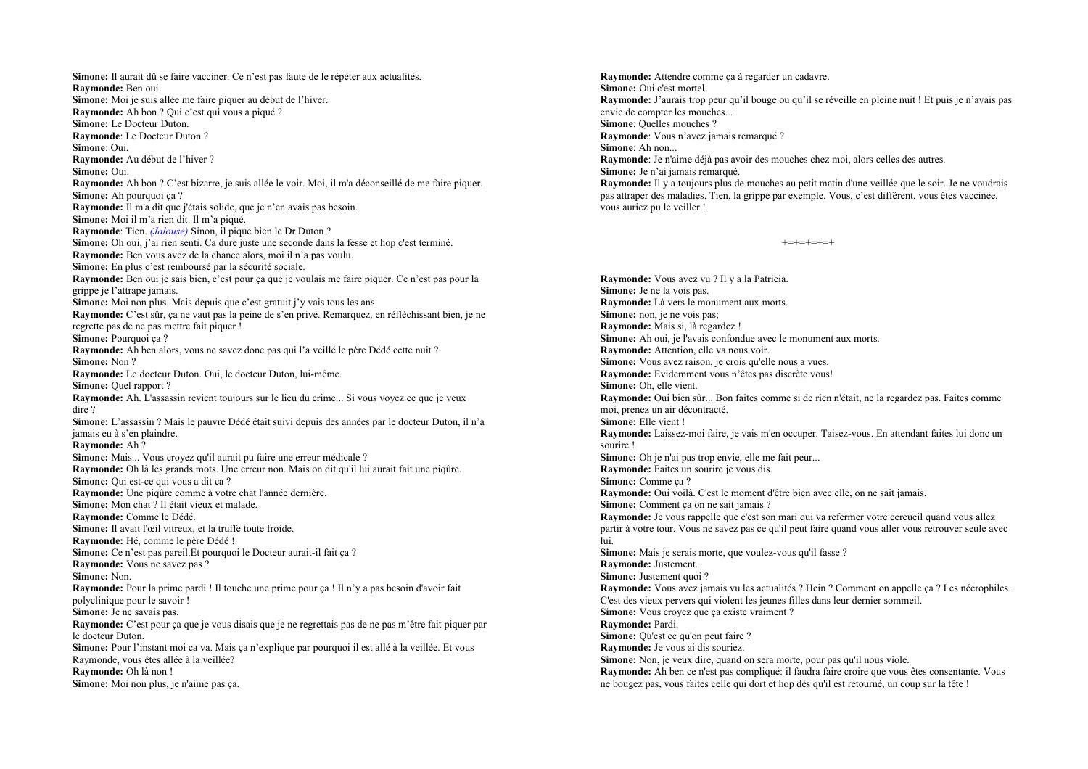Simone: Il aurait dû se faire vacciner. Ce n'est pas faute de le répéter aux actualités. Ravmonde: Ben oui. Simone: Moi je suis allée me faire piquer au début de l'hiver. Raymonde: Ah bon ? Oui c'est qui vous a piqué ? Simone: Le Docteur Duton. Raymonde: Le Docteur Duton? Simone: Oui. Raymonde: Au début de l'hiver ? Simone: Oui. Raymonde: Ah bon ? C'est bizarre, je suis allée le voir. Moi, il m'a déconseillé de me faire piquer. Simone: Ah nourquoi ca ? Raymonde: Il m'a dit que j'étais solide, que je n'en avais pas besoin. Simone: Moi il m'a rien dit. Il m'a piqué. Raymonde: Tien. *(Jalouse)* Sinon, il pique bien le Dr Duton? Simone: Oh oui, j'ai rien senti. Ca dure juste une seconde dans la fesse et hop c'est terminé. Raymonde: Ben yous avez de la chance alors, moi il n'a pas voulu. Simone: En plus c'est remboursé par la sécurité sociale. Raymonde: Ben oui je sais bien, c'est pour ca que je voulais me faire piquer. Ce n'est pas pour la grippe je l'attrape jamais. Simone: Moi non plus. Mais depuis que c'est gratuit i'v vais tous les ans. Raymonde: C'est sûr, ca ne vaut pas la peine de s'en privé. Remarquez, en réfléchissant bien, je ne regrette pas de ne pas mettre fait piquer ! Simone: Pourquoi ca? Raymonde: Ah ben alors, vous ne savez donc pas qui l'a veillé le père Dédé cette nuit ? Simone: Non? Ravmonde: Le docteur Duton, Oui, le docteur Duton, lui-même. Simone: Ouel rapport? Raymonde: Ah. L'assassin revient toujours sur le lieu du crime... Si vous voyez ce que je veux dire? Simone: L'assassin ? Mais le pauvre Dédé était suivi depuis des années par le docteur Duton, il n'a iamais eu à s'en plaindre. Ravmonde: Ah? Simone: Mais... Vous croyez qu'il aurait pu faire une erreur médicale ? **Raymonde:** Oh là les grands mots. Une erreur non. Mais on dit qu'il lui aurait fait une pigûre. Simone: Qui est-ce qui vous a dit ca? Raymonde: Une piqûre comme à votre chat l'année dernière. Simone: Mon chat ? Il était vieux et malade. Raymonde: Comme le Dédé. Simone: Il avait l'œil vitreux, et la truffe toute froide. Ravmonde: Hé, comme le père Dédé ! Simone: Ce n'est pas pareil. Et pourquoi le Docteur aurait-il fait ca ? Raymonde: Vous ne savez pas? Simone: Non. Raymonde: Pour la prime pardi ! Il touche une prime pour ça ! Il n'y a pas besoin d'avoir fait polyclinique pour le savoir! Simone: Je ne savais pas. Raymonde: C'est pour ça que je vous disais que je ne regrettais pas de ne pas m'être fait piquer par le docteur Duton. Simone: Pour l'instant moi ca va. Mais ça n'explique par pourquoi il est allé à la veillée. Et vous Raymonde, vous êtes allée à la veillée? Raymonde: Oh là non! Simone: Moi non plus, je n'aime pas ca.

Raymonde: Attendre comme ca à regarder un cadavre. Simone: Oui c'est mortel. Raymonde: J'aurais trop peur qu'il bouge ou qu'il se réveille en pleine nuit ! Et puis je n'avais pas envie de compter les mouches... Simone: Ouelles mouches? Raymonde: Vous n'avez jamais remarqué ? Simone: Ah non... Raymonde: Je n'aime déjà pas avoir des mouches chez moi, alors celles des autres. Simone: Je n'ai jamais remarqué. **Raymonde:** Il y a toujours plus de mouches au petit matin d'une veillée que le soir. Je ne voudrais pas attraper des maladies. Tien, la grippe par exemple. Vous, c'est différent, vous êtes vaccinée. vous auriez pu le veiller !

```
+-+=+-+-+
```
Raymonde: Vous avez vu ? Il y a la Patricia. Simone: Je ne la vois pas. Raymonde: Là vers le monument aux morts. Simone: non, je ne vois pas; Raymonde: Mais si, là regardez ! Simone: Ah oui, je l'avais confondue avec le monument aux morts. Raymonde: Attention, elle va nous voir. Simone: Vous avez raison, je crois qu'elle nous a vues. Raymonde: Evidemment vous n'êtes pas discrète vous! Simone: Oh. elle vient. **Raymonde:** Oui bien sûr... Bon faites comme si de rien n'était, ne la regardez pas. Faites comme moi, prenez un air décontracté. Simone: Elle vient! Raymonde: Laissez-moi faire, je vais m'en occuper. Taisez-vous. En attendant faites lui donc un sourire! Simone: Oh je n'ai pas trop envie, elle me fait peur... Raymonde: Faites un sourire je vous dis. Simone: Comme ca? Raymonde: Oui voilà. C'est le moment d'être bien avec elle, on ne sait jamais. Simone: Comment ça on ne sait jamais ? Raymonde: Je vous rappelle que c'est son mari qui va refermer votre cercueil quand vous allez partir à votre tour. Vous ne savez pas ce qu'il peut faire quand vous aller vous retrouver seule avec hui Simone: Mais je serais morte, que voulez-vous qu'il fasse ? Raymonde: Justement. Simone: Justement quoi? Raymonde: Vous avez jamais vu les actualités ? Hein ? Comment on appelle ça ? Les nécrophiles. C'est des vieux pervers qui violent les jeunes filles dans leur dernier sommeil. Simone: Vous crovez que ca existe vraiment? Raymonde: Pardi. Simone: Ou'est ce qu'on peut faire ? Raymonde: Je vous ai dis souriez. Simone: Non, je veux dire, quand on sera morte, pour pas qu'il nous viole. Raymonde: Ah ben ce n'est pas compliqué: il faudra faire croire que vous êtes consentante. Vous ne bougez pas, vous faites celle qui dort et hop dès qu'il est retourné, un coup sur la tête !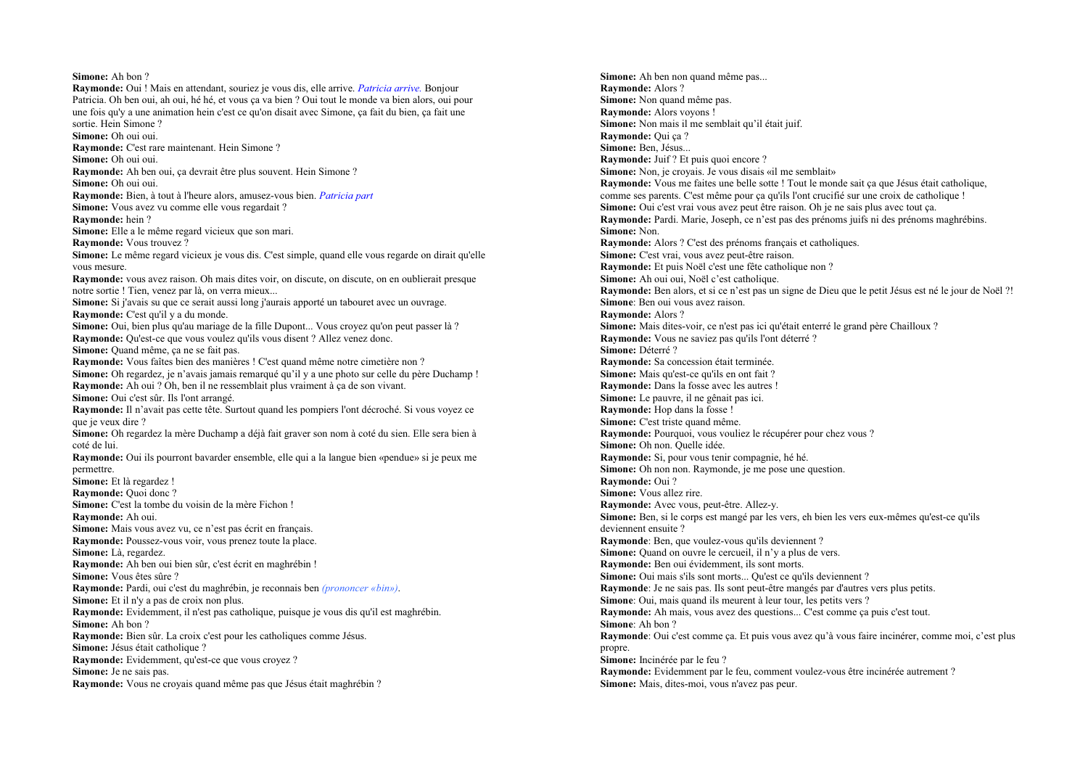## Simone: Ah bon ?

**Raymonde:** Oui! Mais en attendant, souriez je vous dis, elle arrive, *Patricia arrive*, Boniour Patricia. Oh ben oui, ah oui, hé hé, et vous ca va bien ? Oui tout le monde va bien alors, oui pour une fois qu'v a une animation hein c'est ce qu'on disait avec Simone, ca fait du bien, ca fait une sortie. Hein Simone? Simone: Oh oui oui. Raymonde: C'est rare maintenant. Hein Simone? Simone: Oh oui oui. **Raymonde:** Ah ben oui, ca devrait être plus souvent. Hein Simone? Simone: Oh oui oui. Raymonde: Bien, à tout à l'heure alors, amusez-vous bien. *Patricia part* Simone: Vous avez vu comme elle vous regardait ? Ravmonde: hein? Simone: Elle a le même regard vicieux que son mari. **Raymonde:** Vous trouvez? Simone: Le même regard vicieux je vous dis. C'est simple, quand elle vous regarde on dirait qu'elle vous mesure. **Raymonde:** yous avez raison. Oh mais dites voir, on discute, on discute, on en oublierait presque notre sortie ! Tien, venez par là, on verra mieux... Simone: Si j'avais su que ce serait aussi long j'aurais apporté un tabouret avec un ouvrage. Raymonde: C'est qu'il y a du monde. Simone: Oui, bien plus qu'au mariage de la fille Dupont... Vous croyez qu'on peut passer là ? **Raymonde:** Ou'est-ce que vous voulez qu'ils vous disent ? Allez venez donc. Simone: Quand même, ca ne se fait pas. Raymonde: Vous faîtes bien des manières ! C'est quand même notre cimetière non ? Simone: Oh regardez, je n'avais jamais remarqué qu'il y a une photo sur celle du père Duchamp ! Raymonde: Ah oui ? Oh, ben il ne ressemblait plus vraiment à ca de son vivant. Simone: Qui c'est sûr. Ils l'ont arrangé. Raymonde: Il n'avait pas cette tête. Surtout quand les pompiers l'ont décroché. Si vous voyez ce que je veux dire? Simone: Oh regardez la mère Duchamp a déjà fait graver son nom à coté du sien. Elle sera bien à coté de lui. Raymonde: Oui ils pourront bavarder ensemble, elle qui a la langue bien «pendue» si je peux me nermettre. Simone: Et là regardez! Ravmonde: Ouoi donc? Simone: C'est la tombe du voisin de la mère Fichon! Raymonde: Ah oui. Simone: Mais vous avez vu, ce n'est pas écrit en français. Raymonde: Poussez-vous voir, vous prenez toute la place. Simone: Là. regardez. Raymonde: Ah ben oui bien sûr, c'est écrit en maghrébin ! Simone: Vous êtes sûre ? Raymonde: Pardi, oui c'est du maghrébin, je reconnais ben *(prononcer «bin»)*. Simone: Et il n'y a pas de croix non plus. Raymonde: Evidemment, il n'est pas catholique, puisque je vous dis qu'il est maghrébin. Simone: Ah bon ? Raymonde: Bien sûr. La croix c'est pour les catholiques comme Jésus. Simone: Jésus était catholique ? Raymonde: Evidemment, qu'est-ce que vous croyez ? Simone: Je ne sais pas. Raymonde: Vous ne croyais quand même pas que Jésus était maghrébin ?

Simone: Ah ben non quand même pas... Raymonde: Alors? Simone: Non quand même pas. Raymonde: Alors voyons! Simone: Non mais il me semblait qu'il était juif. Raymonde: Oui ca? Simone: Ben. Jésus... Raymonde: Juif? Et puis quoi encore? Simone: Non. je crovais. Je vous disais «il me semblait» Raymonde: Vous me faites une belle sotte ! Tout le monde sait ca que Jésus était catholique, comme ses parents. C'est même pour ca qu'ils l'ont crucifié sur une croix de catholique ! Simone: Oui c'est vrai vous avez peut être raison. Oh je ne sais plus avec tout ça. Raymonde: Pardi. Marie, Joseph, ce n'est pas des prénoms juifs ni des prénoms maghrébins. Simone: Non. Raymonde: Alors ? C'est des prénoms français et catholiques. Simone: C'est vrai, vous avez peut-être raison. Raymonde: Et puis Noël c'est une fête catholique non ? Simone: Ah oui oui. Noël c'est catholique. Raymonde: Ben alors, et si ce n'est pas un signe de Dieu que le petit Jésus est né le jour de Noël ?! Simone: Ben oui yous avez raison. Raymonde: Alors? Simone: Mais dites-voir, ce n'est pas ici qu'était enterré le grand père Chailloux ? Raymonde: Vous ne saviez pas qu'ils l'ont déterré ? Simone: Déterré ? Raymonde: Sa concession était terminée. Simone: Mais qu'est-ce qu'ils en ont fait ? Raymonde: Dans la fosse avec les autres ! Simone: Le pauvre, il ne gênait pas ici. **Raymonde:** Hop dans la fosse ! Simone: C'est triste quand même. Raymonde: Pourquoi, vous vouliez le récupérer pour chez vous ? Simone: Oh non. Ouelle idée. Raymonde: Si, pour vous tenir compagnie, hé hé. Simone: Oh non non. Raymonde, ie me nose une question. Ravmonde: Oui ? Simone: Vous allez rire. Raymonde: Avec vous, peut-être. Allez-y. Simone: Ben, si le corps est mangé par les vers, en bien les vers eux-mêmes qu'est-ce qu'ils deviennent ensuite? Raymonde: Ben, que voulez-vous qu'ils deviennent ? Simone: Quand on ouvre le cercueil, il n'v a plus de vers. Raymonde: Ben oui évidemment, ils sont morts. Simone: Oui mais s'ils sont morts... Ou'est ce qu'ils deviennent ? Raymonde: Je ne sais pas. Ils sont peut-être mangés par d'autres vers plus petits. Simone: Oui, mais quand ils meurent à leur tour, les petits vers ? Raymonde: Ah mais, vous avez des questions... C'est comme ça puis c'est tout. Simone: Ah bon ? Raymonde: Oui c'est comme ca. Et puis vous avez qu'à vous faire incinérer, comme moi, c'est plus propre. Simone: Incinérée par le feu ? Raymonde: Evidemment par le feu, comment voulez-vous être incinérée autrement ? Simone: Mais, dites-moi, vous n'avez pas peur.